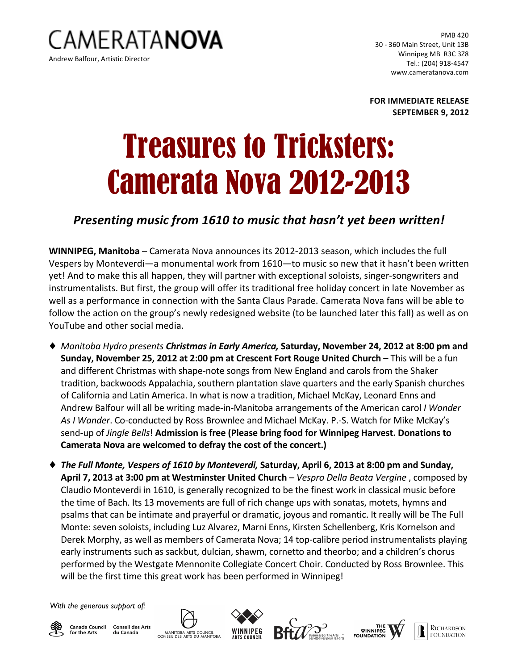

PMB 420 30 - 360 Main Street, Unit 13B Winnipeg MB R3C 3Z8 Tel.: (204) 918-4547 www.cameratanova.com

**FOR IMMEDIATE RELEASE SEPTEMBER 9, 2012**

## Treasures to Tricksters: Camerata Nova 2012-2013

## **Presenting music from 1610 to music that hasn't yet been written!**

WINNIPEG, Manitoba - Camerata Nova announces its 2012-2013 season, which includes the full Vespers by Monteverdi—a monumental work from 1610—to music so new that it hasn't been written yet! And to make this all happen, they will partner with exceptional soloists, singer-songwriters and instrumentalists. But first, the group will offer its traditional free holiday concert in late November as well as a performance in connection with the Santa Claus Parade. Camerata Nova fans will be able to follow the action on the group's newly redesigned website (to be launched later this fall) as well as on YouTube and other social media.

- ◆ *Manitoba Hydro presents Christmas in Early America,* Saturday, November 24, 2012 at 8:00 pm and **Sunday, November 25, 2012 at 2:00 pm at Crescent Fort Rouge United Church - This will be a fun** and different Christmas with shape-note songs from New England and carols from the Shaker tradition, backwoods Appalachia, southern plantation slave quarters and the early Spanish churches of California and Latin America. In what is now a tradition, Michael McKay, Leonard Enns and Andrew Balfour will all be writing made-in-Manitoba arrangements of the American carol *I Wonder* As I Wander. Co-conducted by Ross Brownlee and Michael McKay. P.-S. Watch for Mike McKay's send-up of *Jingle Bells*! **Admission is free (Please bring food for Winnipeg Harvest. Donations to** Camerata Nova are welcomed to defray the cost of the concert.)
- ◆ The Full Monte, Vespers of 1610 by Monteverdi, Saturday, April 6, 2013 at 8:00 pm and Sunday, **April 7, 2013 at 3:00 pm at Westminster United Church** – *Vespro Della Beata Vergine*, composed by Claudio Monteverdi in 1610, is generally recognized to be the finest work in classical music before the time of Bach. Its 13 movements are full of rich change ups with sonatas, motets, hymns and psalms that can be intimate and prayerful or dramatic, joyous and romantic. It really will be The Full Monte: seven soloists, including Luz Alvarez, Marni Enns, Kirsten Schellenberg, Kris Kornelson and Derek Morphy, as well as members of Camerata Nova; 14 top-calibre period instrumentalists playing early instruments such as sackbut, dulcian, shawm, cornetto and theorbo; and a children's chorus performed by the Westgate Mennonite Collegiate Concert Choir. Conducted by Ross Brownlee. This will be the first time this great work has been performed in Winnipeg!

*With the generous support of:*



**Canada Council Conseil des Arts** for the Arts du Canada